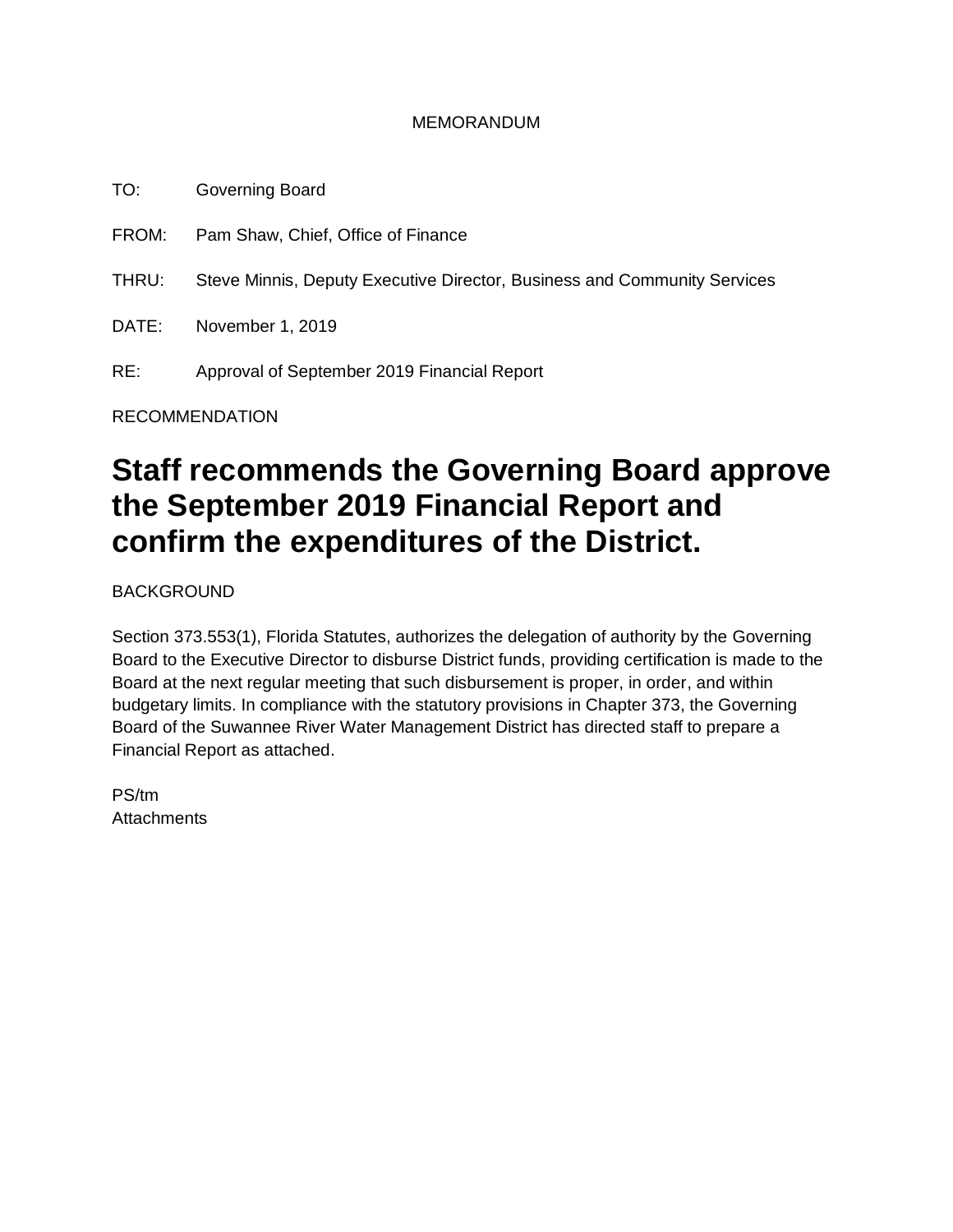#### MEMORANDUM

TO: Governing Board FROM: Pam Shaw, Chief, Office of Finance THRU: Steve Minnis, Deputy Executive Director, Business and Community Services DATE: November 1, 2019 RE: Approval of September 2019 Financial Report

RECOMMENDATION

# **Staff recommends the Governing Board approve the September 2019 Financial Report and confirm the expenditures of the District.**

BACKGROUND

Section 373.553(1), Florida Statutes, authorizes the delegation of authority by the Governing Board to the Executive Director to disburse District funds, providing certification is made to the Board at the next regular meeting that such disbursement is proper, in order, and within budgetary limits. In compliance with the statutory provisions in Chapter 373, the Governing Board of the Suwannee River Water Management District has directed staff to prepare a Financial Report as attached.

PS/tm **Attachments**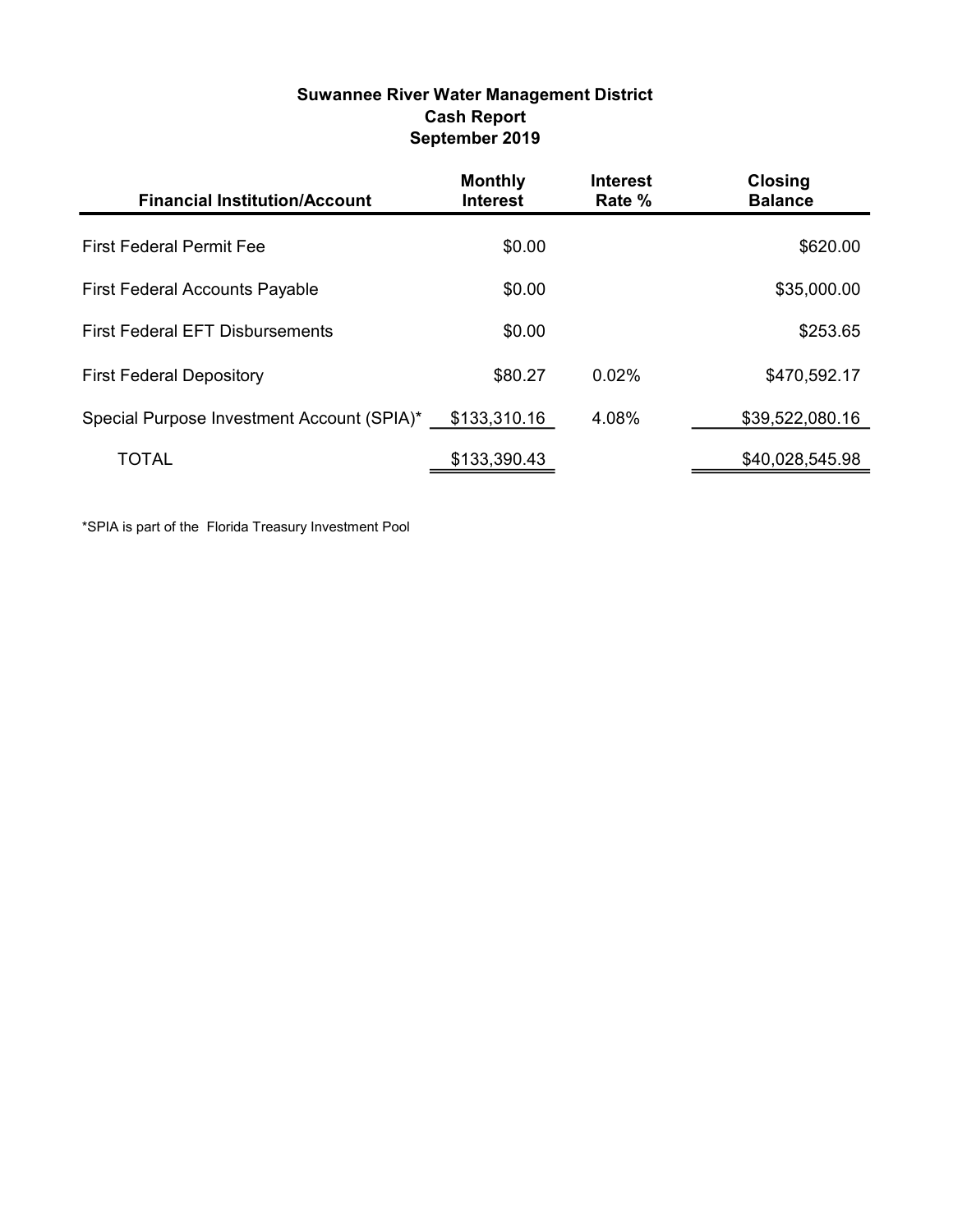#### Suwannee River Water Management District Cash Report September 2019

| <b>Financial Institution/Account</b>       | <b>Monthly</b><br><b>Interest</b> | <b>Interest</b><br>Rate % | <b>Closing</b><br><b>Balance</b> |
|--------------------------------------------|-----------------------------------|---------------------------|----------------------------------|
| <b>First Federal Permit Fee</b>            | \$0.00                            |                           | \$620.00                         |
| <b>First Federal Accounts Payable</b>      | \$0.00                            |                           | \$35,000.00                      |
| <b>First Federal EFT Disbursements</b>     | \$0.00                            |                           | \$253.65                         |
| <b>First Federal Depository</b>            | \$80.27                           | 0.02%                     | \$470,592.17                     |
| Special Purpose Investment Account (SPIA)* | \$133,310.16                      | 4.08%                     | \$39,522,080.16                  |
| TOTAL                                      | \$133,390.43                      |                           | \$40,028,545.98                  |

\*SPIA is part of the Florida Treasury Investment Pool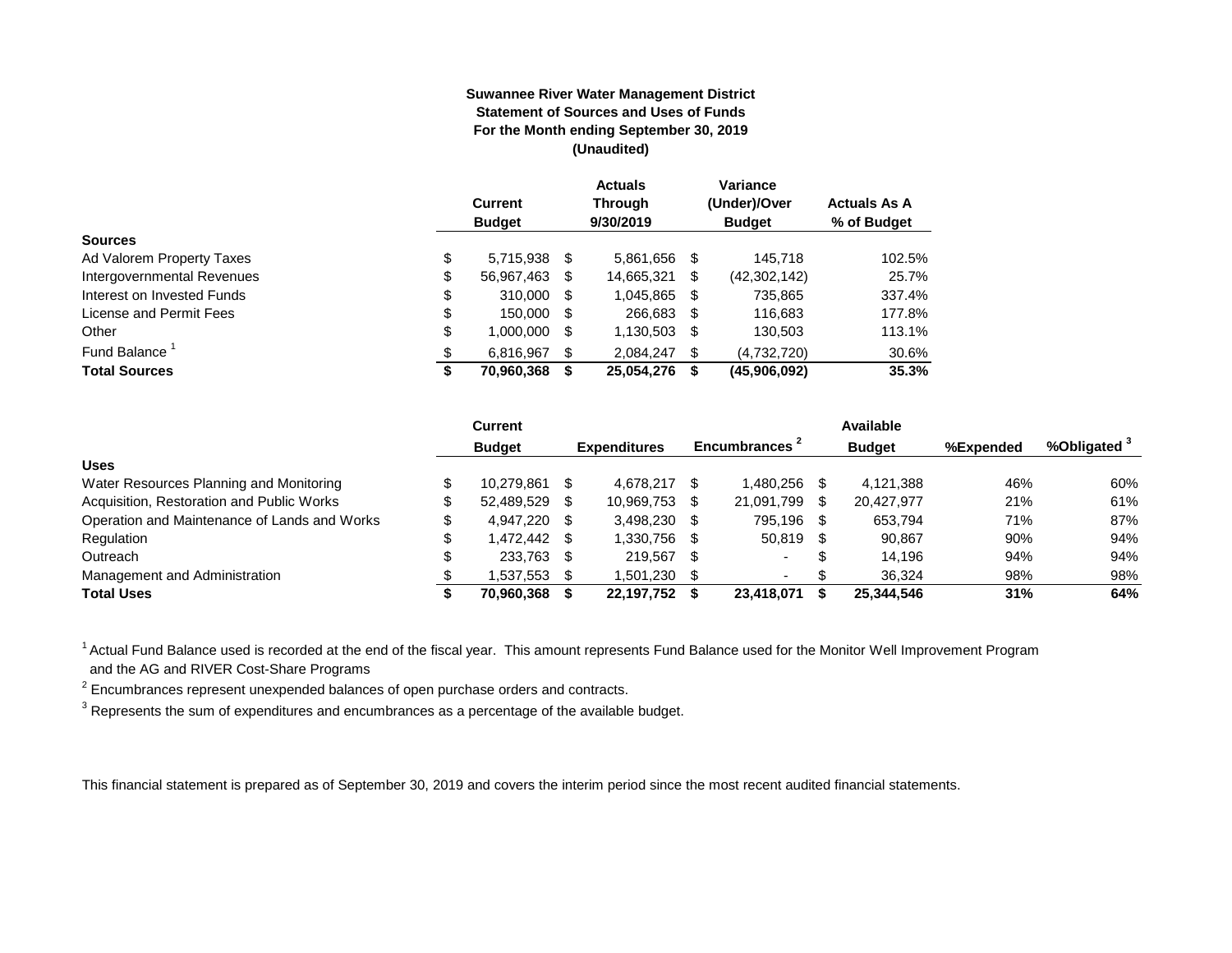#### **Suwannee River Water Management District Statement of Sources and Uses of Funds For the Month ending September 30, 2019 (Unaudited)**

|                                  | <b>Current</b><br><b>Budget</b> |      | <b>Actuals</b><br><b>Through</b><br>9/30/2019 |      | Variance<br>(Under)/Over<br><b>Budget</b> | <b>Actuals As A</b><br>% of Budget |
|----------------------------------|---------------------------------|------|-----------------------------------------------|------|-------------------------------------------|------------------------------------|
| <b>Sources</b>                   |                                 |      |                                               |      |                                           |                                    |
| \$<br>Ad Valorem Property Taxes  | 5,715,938                       | - \$ | 5,861,656                                     | - \$ | 145,718                                   | 102.5%                             |
| \$<br>Intergovernmental Revenues | 56,967,463                      | S    | 14,665,321                                    | S    | (42, 302, 142)                            | 25.7%                              |
| \$<br>Interest on Invested Funds | 310.000                         | - \$ | 1,045,865                                     | \$   | 735,865                                   | 337.4%                             |
| \$<br>License and Permit Fees    | 150,000                         | S    | 266,683                                       | S    | 116,683                                   | 177.8%                             |
| \$<br>Other                      | 1,000,000                       | S    | 1,130,503                                     | S    | 130,503                                   | 113.1%                             |
| Fund Balance <sup>1</sup><br>\$  | 6.816.967                       | S    | 2.084.247                                     | \$   | (4,732,720)                               | 30.6%                              |
| <b>Total Sources</b><br>\$       | 70,960,368                      |      | 25,054,276                                    | S    | (45,906,092)                              | 35.3%                              |

|                                              | Current       |      |                     |                          |      | Available     |           |                         |
|----------------------------------------------|---------------|------|---------------------|--------------------------|------|---------------|-----------|-------------------------|
|                                              | <b>Budget</b> |      | <b>Expenditures</b> | Encumbrances 1           |      | <b>Budget</b> | %Expended | %Obligated <sup>3</sup> |
| <b>Uses</b>                                  |               |      |                     |                          |      |               |           |                         |
| Water Resources Planning and Monitoring      | 10.279.861    |      | 4.678.217           | .480.256                 |      | 4,121,388     | 46%       | 60%                     |
| Acquisition, Restoration and Public Works    | 52.489.529    | - \$ | 10,969,753          | 21,091,799               | \$.  | 20,427,977    | 21%       | 61%                     |
| Operation and Maintenance of Lands and Works | 4.947.220 \$  |      | 3.498.230           | 795.196                  | - \$ | 653.794       | 71%       | 87%                     |
| Regulation                                   | 1.472.442 \$  |      | 1.330.756           | 50.819                   | -S   | 90.867        | 90%       | 94%                     |
| Outreach                                     | 233,763 \$    |      | 219.567             |                          | \$   | 14.196        | 94%       | 94%                     |
| Management and Administration                | 1,537,553     | - \$ | 1,501,230           | $\overline{\phantom{0}}$ |      | 36.324        | 98%       | 98%                     |
| <b>Total Uses</b>                            | 70,960,368    |      | 22.197.752          | 23.418.071               |      | 25,344,546    | 31%       | 64%                     |

<sup>1</sup> Actual Fund Balance used is recorded at the end of the fiscal year. This amount represents Fund Balance used for the Monitor Well Improvement Program and the AG and RIVER Cost-Share Programs

 $2$  Encumbrances represent unexpended balances of open purchase orders and contracts.

 $^3$  Represents the sum of expenditures and encumbrances as a percentage of the available budget.

This financial statement is prepared as of September 30, 2019 and covers the interim period since the most recent audited financial statements.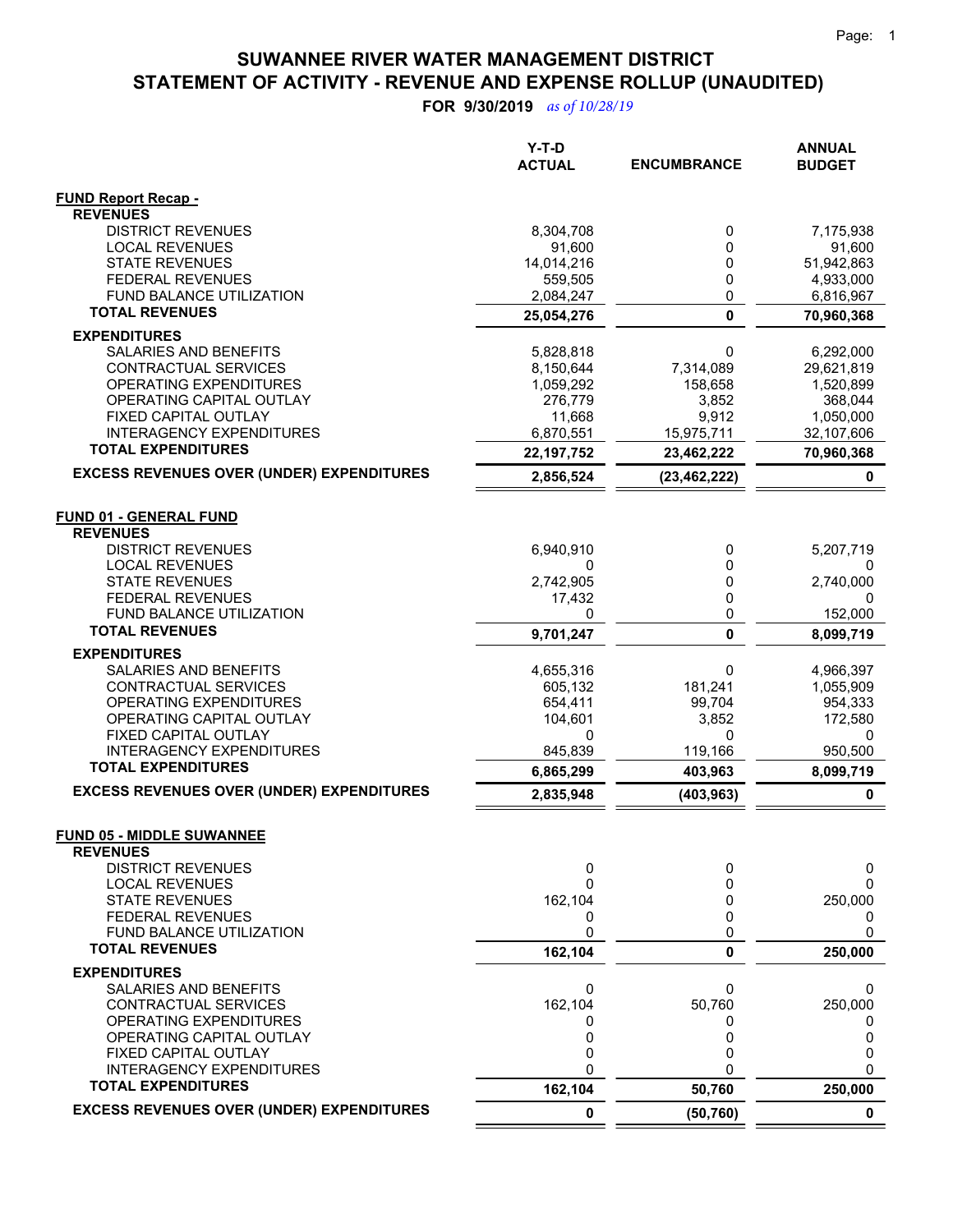**FOR 9/30/2019** *as of 10/28/19*

|                                                          | Y-T-D<br><b>ACTUAL</b> | <b>ENCUMBRANCE</b> | <b>ANNUAL</b><br><b>BUDGET</b> |
|----------------------------------------------------------|------------------------|--------------------|--------------------------------|
| <b>FUND Report Recap -</b><br><b>REVENUES</b>            |                        |                    |                                |
| <b>DISTRICT REVENUES</b>                                 | 8,304,708              | 0                  | 7,175,938                      |
| <b>LOCAL REVENUES</b>                                    | 91,600                 | 0                  | 91,600                         |
| <b>STATE REVENUES</b>                                    | 14,014,216             | 0                  | 51,942,863                     |
| <b>FEDERAL REVENUES</b>                                  | 559,505                | 0                  | 4,933,000                      |
| FUND BALANCE UTILIZATION                                 | 2,084,247              | 0                  | 6,816,967                      |
| <b>TOTAL REVENUES</b>                                    | 25,054,276             | $\mathbf{0}$       | 70,960,368                     |
| <b>EXPENDITURES</b>                                      |                        |                    |                                |
| SALARIES AND BENEFITS                                    | 5,828,818              | 0                  | 6,292,000                      |
| CONTRACTUAL SERVICES                                     | 8,150,644              | 7,314,089          | 29,621,819                     |
| OPERATING EXPENDITURES<br>OPERATING CAPITAL OUTLAY       | 1,059,292<br>276,779   | 158,658<br>3,852   | 1,520,899<br>368,044           |
| FIXED CAPITAL OUTLAY                                     | 11,668                 | 9,912              | 1,050,000                      |
| <b>INTERAGENCY EXPENDITURES</b>                          | 6,870,551              | 15,975,711         | 32,107,606                     |
| <b>TOTAL EXPENDITURES</b>                                | 22, 197, 752           | 23,462,222         | 70,960,368                     |
| <b>EXCESS REVENUES OVER (UNDER) EXPENDITURES</b>         | 2,856,524              | (23, 462, 222)     | 0                              |
|                                                          |                        |                    |                                |
| <b>FUND 01 - GENERAL FUND</b>                            |                        |                    |                                |
| <b>REVENUES</b>                                          |                        |                    |                                |
| <b>DISTRICT REVENUES</b>                                 | 6,940,910              | 0                  | 5,207,719                      |
| <b>LOCAL REVENUES</b>                                    | 0                      | 0                  |                                |
| <b>STATE REVENUES</b>                                    | 2,742,905              | 0                  | 2,740,000                      |
| <b>FEDERAL REVENUES</b>                                  | 17,432                 | 0                  | 0                              |
| <b>FUND BALANCE UTILIZATION</b><br><b>TOTAL REVENUES</b> | 0                      | 0                  | 152,000                        |
|                                                          | 9,701,247              | $\mathbf{0}$       | 8,099,719                      |
| <b>EXPENDITURES</b><br><b>SALARIES AND BENEFITS</b>      |                        |                    |                                |
| CONTRACTUAL SERVICES                                     | 4,655,316<br>605,132   | 0<br>181,241       | 4,966,397<br>1,055,909         |
| <b>OPERATING EXPENDITURES</b>                            | 654,411                | 99,704             | 954,333                        |
| OPERATING CAPITAL OUTLAY                                 | 104,601                | 3,852              | 172,580                        |
| FIXED CAPITAL OUTLAY                                     | 0                      | 0                  | 0                              |
| <b>INTERAGENCY EXPENDITURES</b>                          | 845,839                | 119,166            | 950,500                        |
| <b>TOTAL EXPENDITURES</b>                                | 6,865,299              | 403,963            | 8,099,719                      |
| <b>EXCESS REVENUES OVER (UNDER) EXPENDITURES</b>         | 2,835,948              | (403, 963)         | $\mathbf 0$                    |
|                                                          |                        |                    |                                |
| <b>FUND 05 - MIDDLE SUWANNEE</b><br><b>REVENUES</b>      |                        |                    |                                |
| <b>DISTRICT REVENUES</b>                                 | 0                      | 0                  | 0                              |
| <b>LOCAL REVENUES</b>                                    | 0                      | U                  | $\Omega$                       |
| <b>STATE REVENUES</b>                                    | 162,104                | 0                  | 250,000                        |
| <b>FEDERAL REVENUES</b>                                  | 0                      | 0                  | 0                              |
| FUND BALANCE UTILIZATION                                 | 0                      | 0                  | 0                              |
| <b>TOTAL REVENUES</b>                                    | 162,104                | 0                  | 250,000                        |
| <b>EXPENDITURES</b>                                      |                        |                    |                                |
| SALARIES AND BENEFITS                                    | 0                      | 0                  | 0                              |
| CONTRACTUAL SERVICES                                     | 162,104                | 50,760             | 250,000                        |
| OPERATING EXPENDITURES                                   | 0                      | 0                  | 0                              |
| OPERATING CAPITAL OUTLAY<br>FIXED CAPITAL OUTLAY         | 0<br>0                 | 0<br>0             | 0<br>0                         |
| <b>INTERAGENCY EXPENDITURES</b>                          | 0                      | 0                  | 0                              |
| <b>TOTAL EXPENDITURES</b>                                | 162,104                | 50,760             | 250,000                        |
| <b>EXCESS REVENUES OVER (UNDER) EXPENDITURES</b>         | 0                      | (50, 760)          | $\mathbf 0$                    |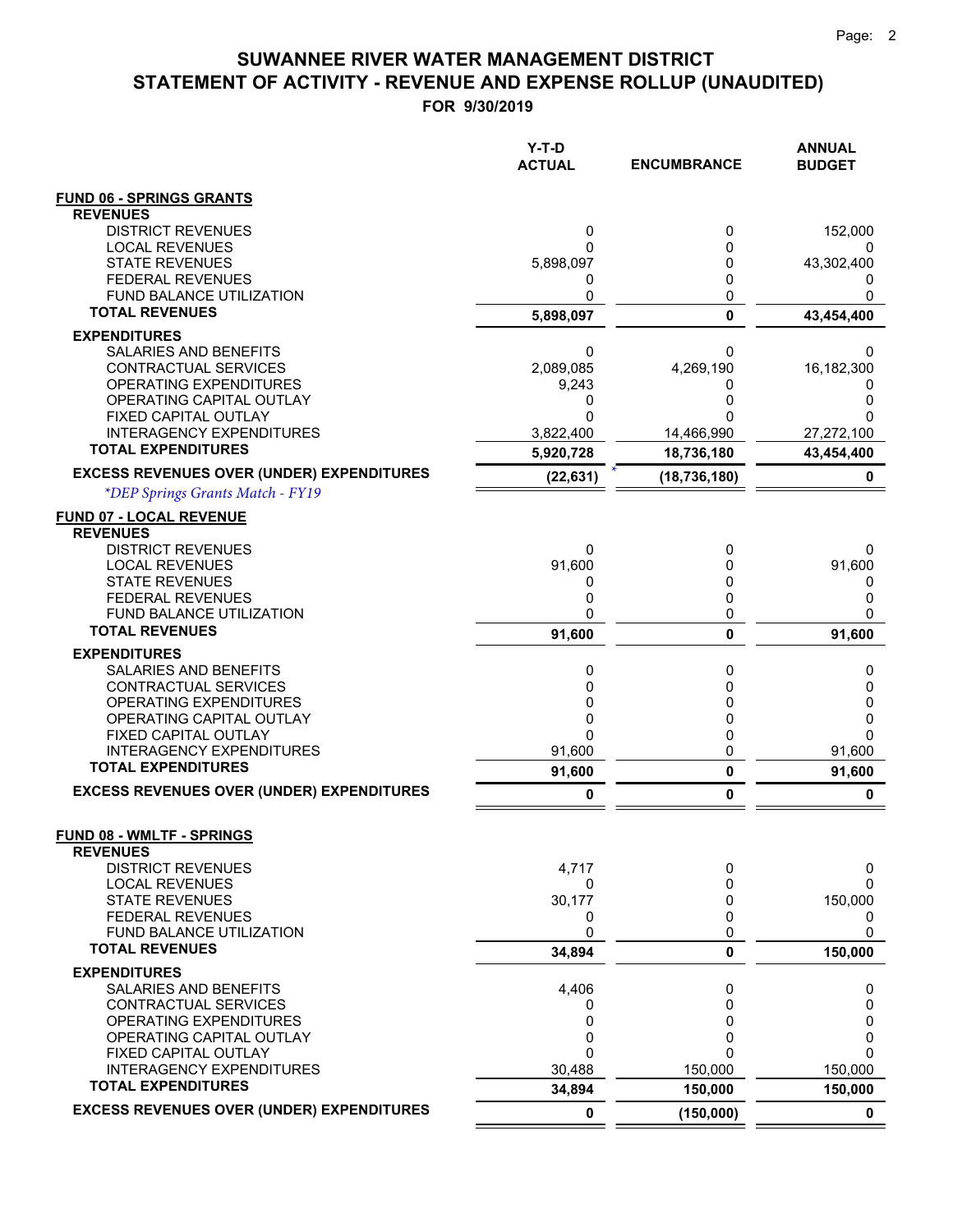**FOR 9/30/2019**

|                                                     | $Y-T-D$<br><b>ACTUAL</b> | <b>ENCUMBRANCE</b> | <b>ANNUAL</b><br><b>BUDGET</b> |
|-----------------------------------------------------|--------------------------|--------------------|--------------------------------|
| <b>FUND 06 - SPRINGS GRANTS</b>                     |                          |                    |                                |
| <b>REVENUES</b>                                     |                          |                    |                                |
| <b>DISTRICT REVENUES</b>                            | 0                        | 0                  | 152,000                        |
| <b>LOCAL REVENUES</b><br><b>STATE REVENUES</b>      | 0<br>5,898,097           | 0<br>0             | 43,302,400                     |
| <b>FEDERAL REVENUES</b>                             | 0                        | 0                  | O                              |
| <b>FUND BALANCE UTILIZATION</b>                     | 0                        | 0                  | 0                              |
| <b>TOTAL REVENUES</b>                               | 5,898,097                | $\mathbf{0}$       | 43,454,400                     |
| <b>EXPENDITURES</b>                                 |                          |                    |                                |
| SALARIES AND BENEFITS                               | 0                        | 0                  | 0                              |
| CONTRACTUAL SERVICES                                | 2,089,085                | 4,269,190          | 16,182,300                     |
| OPERATING EXPENDITURES<br>OPERATING CAPITAL OUTLAY  | 9,243<br>0               | 0<br>0             | 0<br>0                         |
| FIXED CAPITAL OUTLAY                                | 0                        |                    | 0                              |
| <b>INTERAGENCY EXPENDITURES</b>                     | 3,822,400                | 14,466,990         | 27,272,100                     |
| <b>TOTAL EXPENDITURES</b>                           | 5,920,728                | 18,736,180         | 43,454,400                     |
| <b>EXCESS REVENUES OVER (UNDER) EXPENDITURES</b>    | (22, 631)                | (18, 736, 180)     | 0                              |
| *DEP Springs Grants Match - FY19                    |                          |                    |                                |
| <b>FUND 07 - LOCAL REVENUE</b>                      |                          |                    |                                |
| <b>REVENUES</b>                                     |                          |                    |                                |
| <b>DISTRICT REVENUES</b>                            | 0                        | 0                  | 0                              |
| <b>LOCAL REVENUES</b><br><b>STATE REVENUES</b>      | 91,600<br>0              | 0<br>0             | 91,600<br>0                    |
| <b>FEDERAL REVENUES</b>                             | 0                        | 0                  | 0                              |
| FUND BALANCE UTILIZATION                            | 0                        | 0                  | 0                              |
| <b>TOTAL REVENUES</b>                               | 91,600                   | $\mathbf{0}$       | 91,600                         |
| <b>EXPENDITURES</b>                                 |                          |                    |                                |
| SALARIES AND BENEFITS                               | 0                        | 0                  | 0                              |
| CONTRACTUAL SERVICES                                | 0                        | 0                  | 0                              |
| OPERATING EXPENDITURES<br>OPERATING CAPITAL OUTLAY  | 0<br>0                   | 0<br>0             | 0<br>0                         |
| FIXED CAPITAL OUTLAY                                | 0                        | 0                  | 0                              |
| <b>INTERAGENCY EXPENDITURES</b>                     | 91,600                   | 0                  | 91,600                         |
| <b>TOTAL EXPENDITURES</b>                           | 91,600                   | 0                  | 91,600                         |
| <b>EXCESS REVENUES OVER (UNDER) EXPENDITURES</b>    | 0                        | 0                  | 0                              |
|                                                     |                          |                    |                                |
| <b>FUND 08 - WMLTF - SPRINGS</b><br><b>REVENUES</b> |                          |                    |                                |
| <b>DISTRICT REVENUES</b>                            | 4,717                    | 0                  | 0                              |
| <b>LOCAL REVENUES</b>                               | 0                        | $\Omega$           | 0                              |
| <b>STATE REVENUES</b>                               | 30,177                   | 0                  | 150,000                        |
| <b>FEDERAL REVENUES</b><br>FUND BALANCE UTILIZATION | 0<br>0                   | 0<br>0             | 0<br>$\Omega$                  |
| <b>TOTAL REVENUES</b>                               | 34,894                   | 0                  | 150,000                        |
| <b>EXPENDITURES</b>                                 |                          |                    |                                |
| SALARIES AND BENEFITS                               | 4,406                    | 0                  | 0                              |
| CONTRACTUAL SERVICES                                | 0                        | 0                  | 0                              |
| OPERATING EXPENDITURES                              | 0                        | 0                  | 0                              |
| OPERATING CAPITAL OUTLAY<br>FIXED CAPITAL OUTLAY    | 0<br>0                   | 0<br>$\Omega$      | 0<br>0                         |
| <b>INTERAGENCY EXPENDITURES</b>                     | 30,488                   | 150,000            | 150,000                        |
| <b>TOTAL EXPENDITURES</b>                           | 34,894                   | 150,000            | 150,000                        |
| <b>EXCESS REVENUES OVER (UNDER) EXPENDITURES</b>    | 0                        | (150,000)          | $\mathbf 0$                    |

 $=$  $\equiv$   $=$   $=$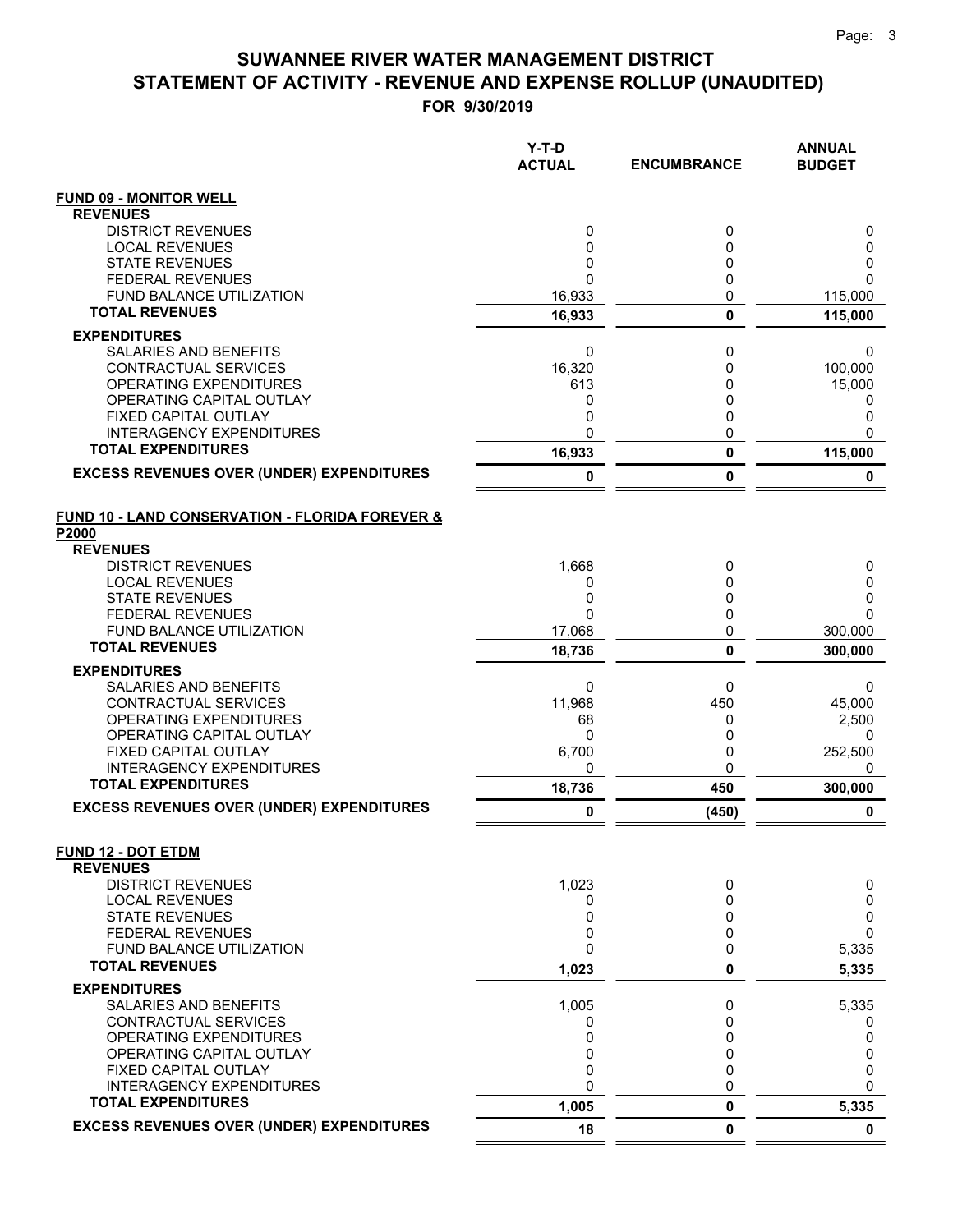|                                                            | Y-T-D<br><b>ACTUAL</b> | <b>ENCUMBRANCE</b> | <b>ANNUAL</b><br><b>BUDGET</b> |
|------------------------------------------------------------|------------------------|--------------------|--------------------------------|
| <b>FUND 09 - MONITOR WELL</b>                              |                        |                    |                                |
| <b>REVENUES</b>                                            |                        |                    |                                |
| <b>DISTRICT REVENUES</b>                                   | 0                      | 0                  | 0                              |
| <b>LOCAL REVENUES</b><br><b>STATE REVENUES</b>             | 0<br>0                 | 0<br>0             | 0<br>0                         |
| <b>FEDERAL REVENUES</b>                                    | $\mathbf{0}$           | 0                  | 0                              |
| <b>FUND BALANCE UTILIZATION</b>                            | 16,933                 | 0                  | 115,000                        |
| <b>TOTAL REVENUES</b>                                      | 16,933                 | $\mathbf 0$        | 115,000                        |
| <b>EXPENDITURES</b>                                        |                        |                    |                                |
| SALARIES AND BENEFITS                                      | 0                      | 0                  | 0                              |
| <b>CONTRACTUAL SERVICES</b>                                | 16,320                 | 0                  | 100,000                        |
| OPERATING EXPENDITURES                                     | 613                    | 0                  | 15,000                         |
| OPERATING CAPITAL OUTLAY                                   | 0                      | 0<br>0             | 0                              |
| FIXED CAPITAL OUTLAY<br><b>INTERAGENCY EXPENDITURES</b>    | 0<br>0                 | 0                  | 0<br>0                         |
| <b>TOTAL EXPENDITURES</b>                                  | 16,933                 | 0                  | 115,000                        |
| <b>EXCESS REVENUES OVER (UNDER) EXPENDITURES</b>           | 0                      | 0                  | 0                              |
| <b>FUND 10 - LAND CONSERVATION - FLORIDA FOREVER &amp;</b> |                        |                    |                                |
| P2000                                                      |                        |                    |                                |
| <b>REVENUES</b>                                            |                        |                    |                                |
| <b>DISTRICT REVENUES</b>                                   | 1,668                  | 0                  | 0                              |
| <b>LOCAL REVENUES</b>                                      | 0                      | 0                  | 0                              |
| <b>STATE REVENUES</b><br><b>FEDERAL REVENUES</b>           | 0<br>$\Omega$          | 0<br>0             | 0<br>0                         |
| FUND BALANCE UTILIZATION                                   | 17,068                 | 0                  | 300,000                        |
| <b>TOTAL REVENUES</b>                                      | 18,736                 | $\mathbf{0}$       | 300,000                        |
| <b>EXPENDITURES</b>                                        |                        |                    |                                |
| SALARIES AND BENEFITS                                      | 0                      | 0                  | 0                              |
| CONTRACTUAL SERVICES                                       | 11,968                 | 450                | 45,000                         |
| OPERATING EXPENDITURES                                     | 68                     | 0                  | 2,500                          |
| OPERATING CAPITAL OUTLAY                                   | 0                      | 0                  | 0                              |
| FIXED CAPITAL OUTLAY<br><b>INTERAGENCY EXPENDITURES</b>    | 6,700<br>0             | 0<br>0             | 252,500<br>0                   |
| <b>TOTAL EXPENDITURES</b>                                  | 18,736                 | 450                | 300,000                        |
| <b>EXCESS REVENUES OVER (UNDER) EXPENDITURES</b>           | 0                      | (450)              | 0                              |
| <b>FUND 12 - DOT ETDM</b>                                  |                        |                    |                                |
| <b>REVENUES</b>                                            |                        |                    |                                |
| <b>DISTRICT REVENUES</b>                                   | 1,023                  | 0                  | 0                              |
| <b>LOCAL REVENUES</b>                                      | 0                      | 0                  | 0                              |
| <b>STATE REVENUES</b><br><b>FEDERAL REVENUES</b>           | 0<br>0                 | 0<br>0             | 0<br>0                         |
| <b>FUND BALANCE UTILIZATION</b>                            | 0                      | 0                  | 5,335                          |
| <b>TOTAL REVENUES</b>                                      | 1,023                  | 0                  | 5,335                          |
| <b>EXPENDITURES</b>                                        |                        |                    |                                |
| SALARIES AND BENEFITS                                      | 1,005                  | 0                  | 5,335                          |
| CONTRACTUAL SERVICES                                       | 0                      | 0                  | 0                              |
| <b>OPERATING EXPENDITURES</b><br>OPERATING CAPITAL OUTLAY  | 0<br>0                 | 0<br>0             | 0<br>0                         |
| FIXED CAPITAL OUTLAY                                       | 0                      | 0                  | 0                              |
| <b>INTERAGENCY EXPENDITURES</b>                            | 0                      | 0                  | 0                              |
| <b>TOTAL EXPENDITURES</b>                                  | 1,005                  | 0                  | 5,335                          |
| <b>EXCESS REVENUES OVER (UNDER) EXPENDITURES</b>           | 18                     | 0                  | $\mathbf 0$                    |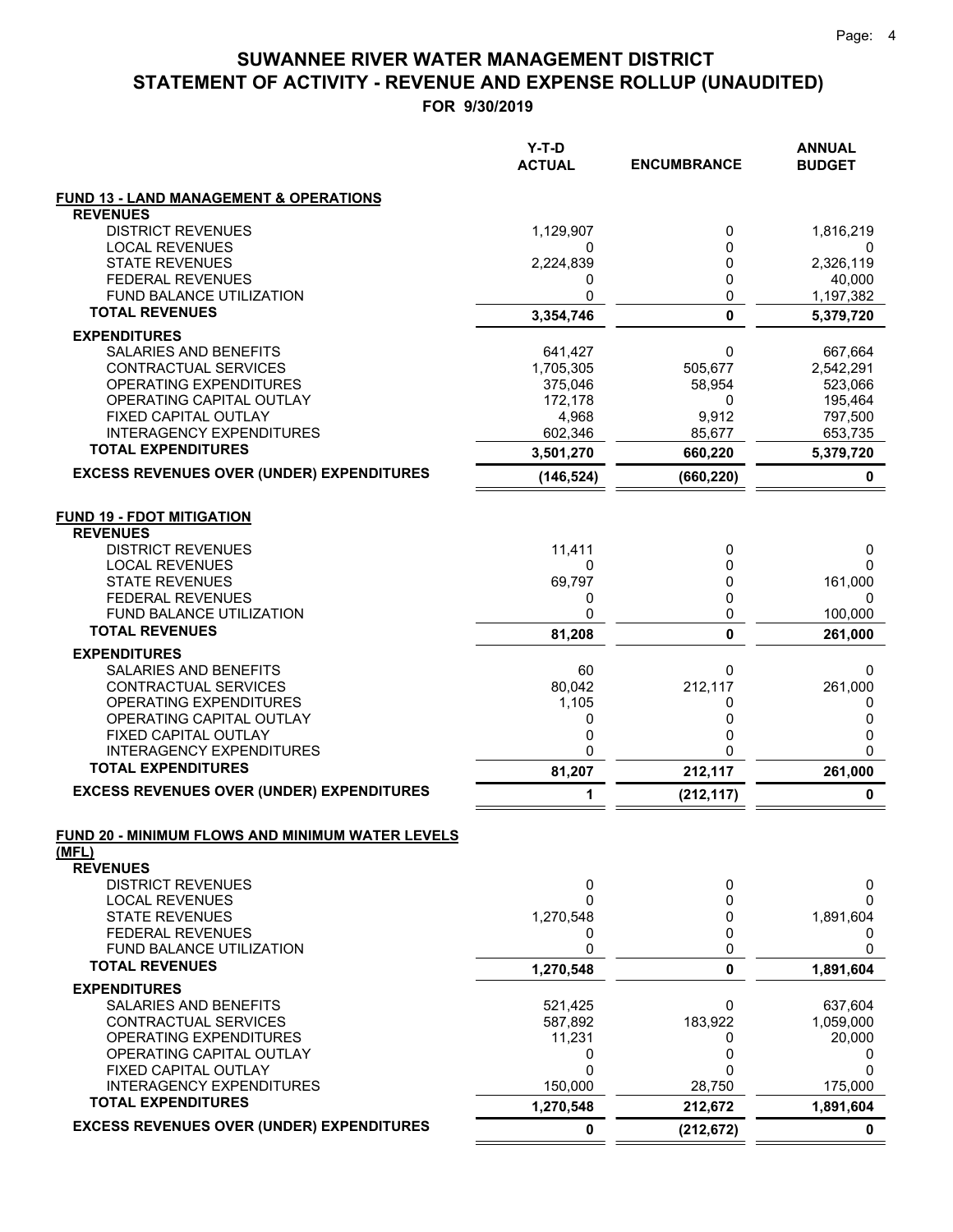|                                                                      | Y-T-D<br><b>ACTUAL</b> | <b>ENCUMBRANCE</b> | <b>ANNUAL</b><br><b>BUDGET</b> |
|----------------------------------------------------------------------|------------------------|--------------------|--------------------------------|
| <b>FUND 13 - LAND MANAGEMENT &amp; OPERATIONS</b><br><b>REVENUES</b> |                        |                    |                                |
| <b>DISTRICT REVENUES</b>                                             | 1,129,907              | 0                  | 1,816,219                      |
| <b>LOCAL REVENUES</b><br><b>STATE REVENUES</b>                       | 0<br>2,224,839         | 0<br>0             | 0<br>2,326,119                 |
| <b>FEDERAL REVENUES</b>                                              | 0                      | 0                  | 40,000                         |
| FUND BALANCE UTILIZATION                                             | 0                      | 0                  | 1,197,382                      |
| <b>TOTAL REVENUES</b>                                                | 3,354,746              | $\mathbf 0$        | 5,379,720                      |
| <b>EXPENDITURES</b>                                                  |                        |                    |                                |
| SALARIES AND BENEFITS                                                | 641,427                | 0                  | 667,664                        |
| CONTRACTUAL SERVICES<br>OPERATING EXPENDITURES                       | 1,705,305<br>375,046   | 505,677<br>58,954  | 2,542,291<br>523,066           |
| OPERATING CAPITAL OUTLAY                                             | 172,178                | 0                  | 195,464                        |
| FIXED CAPITAL OUTLAY                                                 | 4,968                  | 9,912              | 797,500                        |
| INTERAGENCY EXPENDITURES                                             | 602,346                | 85,677             | 653,735                        |
| <b>TOTAL EXPENDITURES</b>                                            | 3,501,270              | 660,220            | 5,379,720                      |
| <b>EXCESS REVENUES OVER (UNDER) EXPENDITURES</b>                     | (146, 524)             | (660, 220)         | 0                              |
| <b>FUND 19 - FDOT MITIGATION</b>                                     |                        |                    |                                |
| <b>REVENUES</b>                                                      |                        |                    |                                |
| <b>DISTRICT REVENUES</b><br><b>LOCAL REVENUES</b>                    | 11,411<br>0            | 0<br>0             | 0<br>0                         |
| <b>STATE REVENUES</b>                                                | 69,797                 | 0                  | 161,000                        |
| <b>FEDERAL REVENUES</b>                                              | 0                      | 0                  | 0                              |
| FUND BALANCE UTILIZATION                                             | 0                      | 0                  | 100,000                        |
| <b>TOTAL REVENUES</b>                                                | 81,208                 | $\mathbf{0}$       | 261,000                        |
| <b>EXPENDITURES</b>                                                  |                        |                    |                                |
| SALARIES AND BENEFITS                                                | 60                     | 0                  | 0                              |
| CONTRACTUAL SERVICES<br>OPERATING EXPENDITURES                       | 80,042<br>1,105        | 212,117<br>0       | 261,000<br>0                   |
| OPERATING CAPITAL OUTLAY                                             | 0                      | 0                  | 0                              |
| FIXED CAPITAL OUTLAY                                                 | 0                      | 0                  | 0                              |
| <b>INTERAGENCY EXPENDITURES</b>                                      | 0                      | $\Omega$           | 0                              |
| <b>TOTAL EXPENDITURES</b>                                            | 81,207                 | 212,117            | 261,000                        |
| <b>EXCESS REVENUES OVER (UNDER) EXPENDITURES</b>                     | 1                      | (212, 117)         | 0                              |
| FUND 20 - MINIMUM FLOWS AND MINIMUM WATER LEVELS<br>(MFL)            |                        |                    |                                |
| <b>REVENUES</b>                                                      |                        |                    |                                |
| <b>DISTRICT REVENUES</b>                                             | 0                      | 0                  | 0                              |
| <b>LOCAL REVENUES</b>                                                | 0                      | 0                  | 0                              |
| <b>STATE REVENUES</b><br><b>FEDERAL REVENUES</b>                     | 1,270,548              | 0                  | 1,891,604                      |
| FUND BALANCE UTILIZATION                                             | 0<br>0                 | 0<br>0             | 0<br>0                         |
| <b>TOTAL REVENUES</b>                                                | 1,270,548              | $\mathbf 0$        | 1,891,604                      |
| <b>EXPENDITURES</b>                                                  |                        |                    |                                |
| SALARIES AND BENEFITS                                                | 521,425                | 0                  | 637,604                        |
| CONTRACTUAL SERVICES<br>OPERATING EXPENDITURES                       | 587,892<br>11,231      | 183,922<br>0       | 1,059,000<br>20,000            |
| OPERATING CAPITAL OUTLAY                                             | 0                      | 0                  | 0                              |
| FIXED CAPITAL OUTLAY                                                 | 0                      | O                  | 0                              |
| <b>INTERAGENCY EXPENDITURES</b>                                      | 150,000                | 28,750             | 175,000                        |
| <b>TOTAL EXPENDITURES</b>                                            | 1,270,548              | 212,672            | 1,891,604                      |
| <b>EXCESS REVENUES OVER (UNDER) EXPENDITURES</b>                     | 0                      | (212, 672)         | 0                              |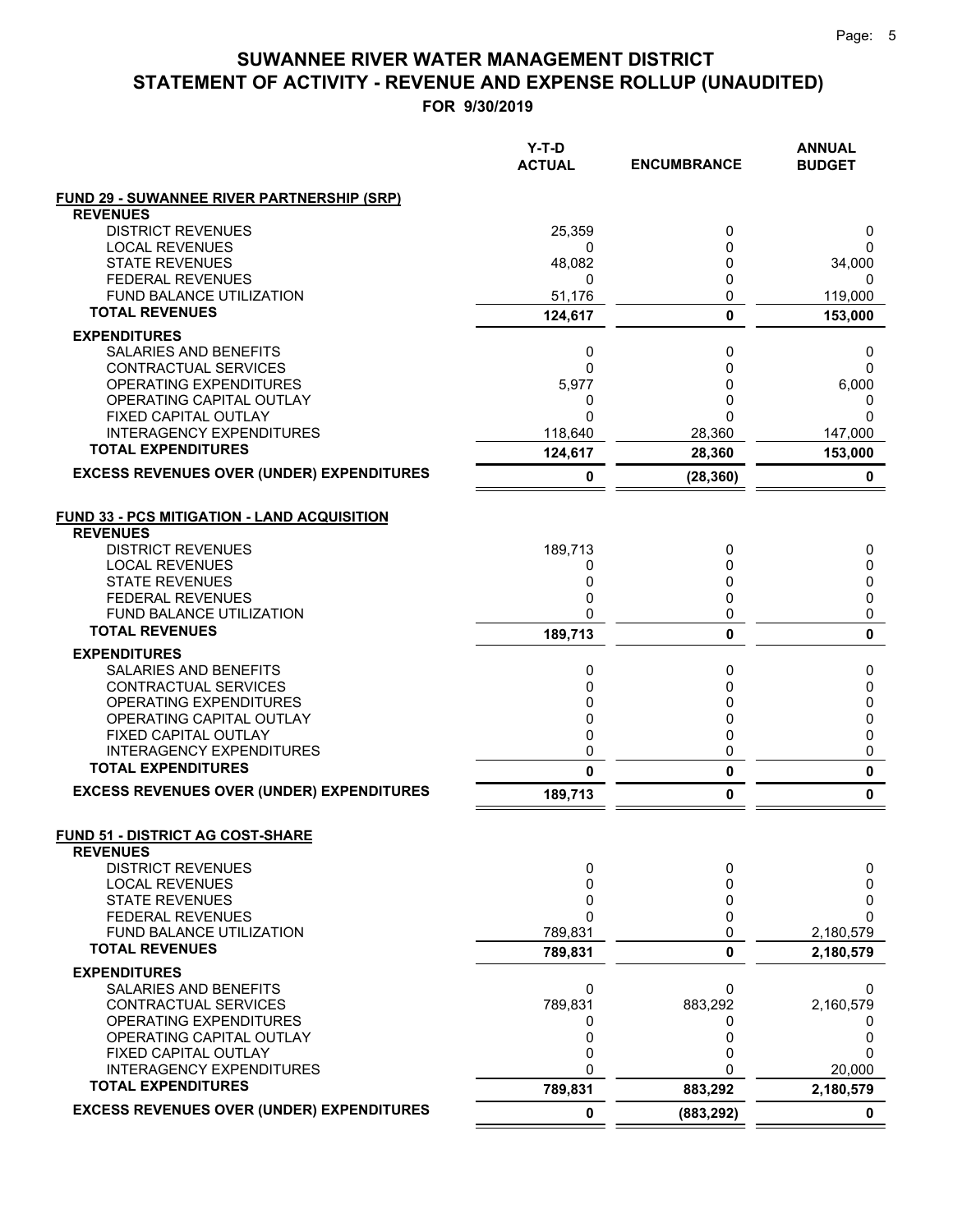|                                                            | $Y-T-D$<br><b>ACTUAL</b> | <b>ENCUMBRANCE</b> | <b>ANNUAL</b><br><b>BUDGET</b> |
|------------------------------------------------------------|--------------------------|--------------------|--------------------------------|
| <b>FUND 29 - SUWANNEE RIVER PARTNERSHIP (SRP)</b>          |                          |                    |                                |
| <b>REVENUES</b>                                            |                          |                    |                                |
| <b>DISTRICT REVENUES</b>                                   | 25,359                   | 0                  | 0                              |
| <b>LOCAL REVENUES</b><br><b>STATE REVENUES</b>             | 0<br>48,082              | 0<br>0             | 0<br>34,000                    |
| <b>FEDERAL REVENUES</b>                                    | 0                        | 0                  | 0                              |
| FUND BALANCE UTILIZATION                                   | 51,176                   | 0                  | 119,000                        |
| <b>TOTAL REVENUES</b>                                      | 124,617                  | 0                  | 153,000                        |
| <b>EXPENDITURES</b>                                        |                          |                    |                                |
| <b>SALARIES AND BENEFITS</b>                               | 0                        | 0                  | 0                              |
| CONTRACTUAL SERVICES                                       | 0                        | 0                  | 0                              |
| OPERATING EXPENDITURES                                     | 5,977                    | 0                  | 6,000                          |
| OPERATING CAPITAL OUTLAY                                   | 0                        | 0                  | 0                              |
| FIXED CAPITAL OUTLAY                                       | $\Omega$                 | 0                  | $\Omega$                       |
| <b>INTERAGENCY EXPENDITURES</b>                            | 118,640                  | 28,360             | 147,000                        |
| <b>TOTAL EXPENDITURES</b>                                  | 124,617                  | 28,360             | 153,000                        |
| <b>EXCESS REVENUES OVER (UNDER) EXPENDITURES</b>           | 0                        | (28, 360)          | 0                              |
| <b>FUND 33 - PCS MITIGATION - LAND ACQUISITION</b>         |                          |                    |                                |
| <b>REVENUES</b>                                            |                          |                    |                                |
| <b>DISTRICT REVENUES</b>                                   | 189,713                  | 0                  | 0                              |
| <b>LOCAL REVENUES</b>                                      | 0                        | 0                  | 0                              |
| <b>STATE REVENUES</b>                                      | 0                        | 0                  | 0                              |
| <b>FEDERAL REVENUES</b>                                    | 0                        | 0                  | 0                              |
| <b>FUND BALANCE UTILIZATION</b><br><b>TOTAL REVENUES</b>   | 0                        | 0<br>0             | 0<br>0                         |
|                                                            | 189,713                  |                    |                                |
| <b>EXPENDITURES</b>                                        |                          |                    |                                |
| SALARIES AND BENEFITS<br>CONTRACTUAL SERVICES              | 0<br>0                   | 0<br>0             | 0<br>0                         |
| OPERATING EXPENDITURES                                     | 0                        | 0                  | 0                              |
| OPERATING CAPITAL OUTLAY                                   | 0                        | 0                  | 0                              |
| FIXED CAPITAL OUTLAY                                       | 0                        | 0                  | 0                              |
| <b>INTERAGENCY EXPENDITURES</b>                            | 0                        | 0                  | 0                              |
| <b>TOTAL EXPENDITURES</b>                                  | $\mathbf 0$              | $\pmb{0}$          | $\pmb{0}$                      |
| <b>EXCESS REVENUES OVER (UNDER) EXPENDITURES</b>           | 189,713                  | 0                  | 0                              |
| <b>FUND 51 - DISTRICT AG COST-SHARE</b><br><b>REVENUES</b> |                          |                    |                                |
| <b>DISTRICT REVENUES</b>                                   | 0                        | 0                  | 0                              |
| <b>LOCAL REVENUES</b>                                      | 0                        | 0                  | 0                              |
| <b>STATE REVENUES</b>                                      | 0                        | 0                  | 0                              |
| <b>FEDERAL REVENUES</b><br>FUND BALANCE UTILIZATION        | 0<br>789,831             | 0<br>0             | $\Omega$<br>2,180,579          |
| <b>TOTAL REVENUES</b>                                      | 789,831                  | 0                  | 2,180,579                      |
| <b>EXPENDITURES</b>                                        |                          |                    |                                |
| <b>SALARIES AND BENEFITS</b>                               | 0                        | 0                  | 0                              |
| <b>CONTRACTUAL SERVICES</b>                                | 789,831                  | 883,292            | 2,160,579                      |
| OPERATING EXPENDITURES                                     | 0                        | 0                  | 0                              |
| OPERATING CAPITAL OUTLAY                                   | 0                        | 0                  | 0                              |
| FIXED CAPITAL OUTLAY                                       | 0                        | 0                  | $\Omega$                       |
| <b>INTERAGENCY EXPENDITURES</b>                            | 0                        | U                  | 20,000                         |
| <b>TOTAL EXPENDITURES</b>                                  | 789,831                  | 883,292            | 2,180,579                      |
| <b>EXCESS REVENUES OVER (UNDER) EXPENDITURES</b>           | 0                        | (883, 292)         | 0                              |